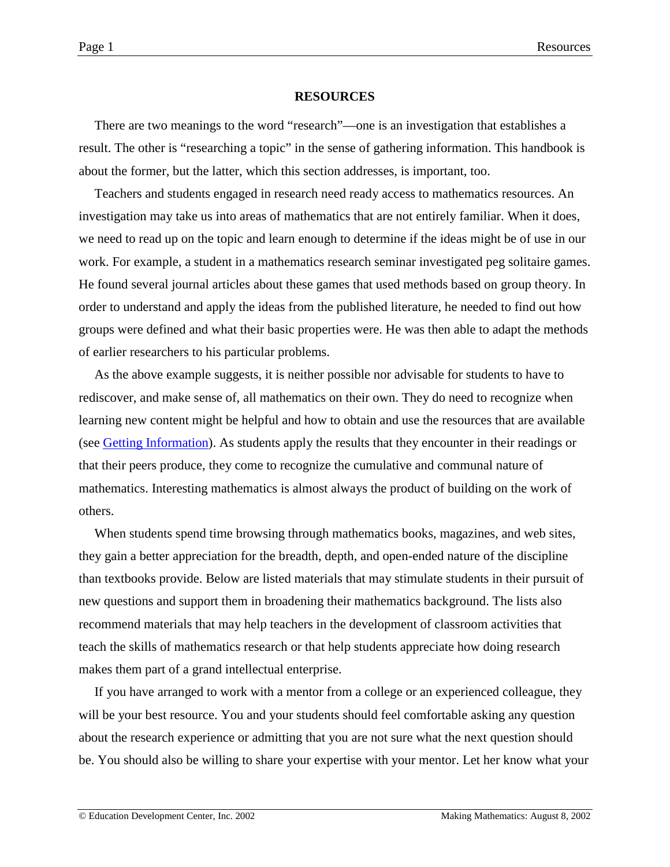#### **RESOURCES**

There are two meanings to the word "research"—one is an investigation that establishes a result. The other is "researching a topic" in the sense of gathering information. This handbook is about the former, but the latter, which this section addresses, is important, too.

Teachers and students engaged in research need ready access to mathematics resources. An investigation may take us into areas of mathematics that are not entirely familiar. When it does, we need to read up on the topic and learn enough to determine if the ideas might be of use in our work. For example, a student in a mathematics research seminar investigated peg solitaire games. He found several journal articles about these games that used methods based on group theory. In order to understand and apply the ideas from the published literature, he needed to find out how groups were defined and what their basic properties were. He was then able to adapt the methods of earlier researchers to his particular problems.

As the above example suggests, it is neither possible nor advisable for students to have to rediscover, and make sense of, all mathematics on their own. They do need to recognize when learning new content might be helpful and how to obtain and use the resources that are available (see [Getting Information\)](http://www2.edc.org/makingmath/handbook/teacher/GettingInformation/GettingInformation.asp). As students apply the results that they encounter in their readings or that their peers produce, they come to recognize the cumulative and communal nature of mathematics. Interesting mathematics is almost always the product of building on the work of others.

When students spend time browsing through mathematics books, magazines, and web sites, they gain a better appreciation for the breadth, depth, and open-ended nature of the discipline than textbooks provide. Below are listed materials that may stimulate students in their pursuit of new questions and support them in broadening their mathematics background. The lists also recommend materials that may help teachers in the development of classroom activities that teach the skills of mathematics research or that help students appreciate how doing research makes them part of a grand intellectual enterprise.

If you have arranged to work with a mentor from a college or an experienced colleague, they will be your best resource. You and your students should feel comfortable asking any question about the research experience or admitting that you are not sure what the next question should be. You should also be willing to share your expertise with your mentor. Let her know what your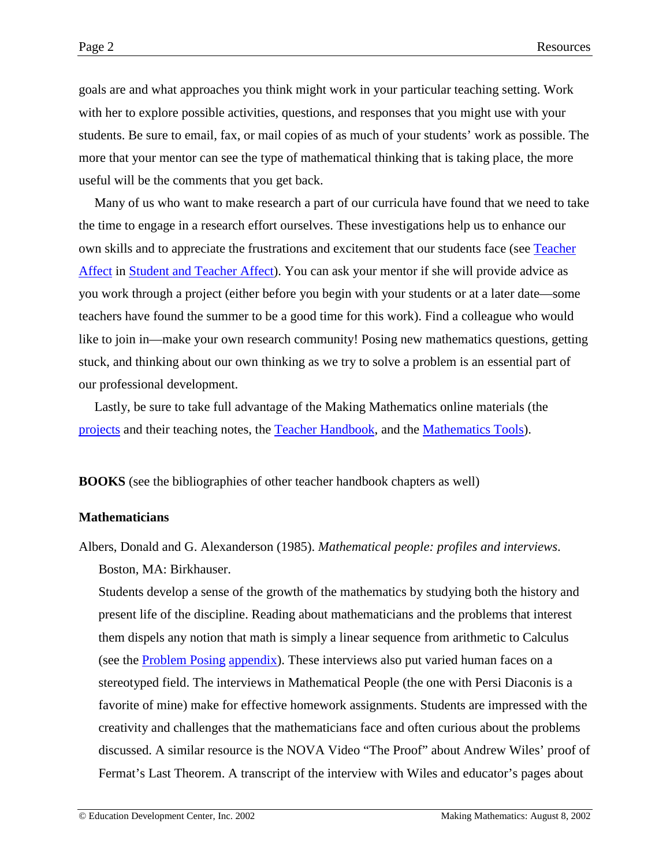goals are and what approaches you think might work in your particular teaching setting. Work with her to explore possible activities, questions, and responses that you might use with your students. Be sure to email, fax, or mail copies of as much of your students' work as possible. The more that your mentor can see the type of mathematical thinking that is taking place, the more useful will be the comments that you get back.

Many of us who want to make research a part of our curricula have found that we need to take the time to engage in a research effort ourselves. These investigations help us to enhance our own skills and to appreciate the frustrations and excitement that our students face (see [Teacher](http://www2.edc.org/makingmath/handbook/teacher/StudentAndTeacherAffect/StudentAndTeacherAffect.asp#TeacherAffect) [Affect](http://www2.edc.org/makingmath/handbook/teacher/StudentAndTeacherAffect/StudentAndTeacherAffect.asp#TeacherAffect) in [Student and Teacher Affect\)](http://www2.edc.org/makingmath/handbook/teacher/StudentAndTeacherAffect/StudentAndTeacherAffect.asp). You can ask your mentor if she will provide advice as you work through a project (either before you begin with your students or at a later date—some teachers have found the summer to be a good time for this work). Find a colleague who would like to join in—make your own research community! Posing new mathematics questions, getting stuck, and thinking about our own thinking as we try to solve a problem is an essential part of our professional development.

Lastly, be sure to take full advantage of the Making Mathematics online materials (the [projects](http://www2.edc.org/makingmath/mathproj.asp) and their teaching notes, the [Teacher Handbook,](http://www2.edc.org/makingmath/handbook/teacher/http://www2.edc.org/makingmath/handbook/teacher/handbookTOC.asp) and the [Mathematics Tools\)](http://www2.edc.org/makingmath/mathproj.asp#rstool).

**BOOKS** (see the bibliographies of other teacher handbook chapters as well)

#### **Mathematicians**

Albers, Donald and G. Alexanderson (1985). *Mathematical people: profiles and interviews*. Boston, MA: Birkhauser.

Students develop a sense of the growth of the mathematics by studying both the history and present life of the discipline. Reading about mathematicians and the problems that interest them dispels any notion that math is simply a linear sequence from arithmetic to Calculus (see the [Problem Posing](http://www2.edc.org/makingmath/handbook/teacher/ProblemPosing.asp) [appendix\)](http://www2.edc.org/makingmath/handbook/teacher/ProblemPosing.asp#Appendix). These interviews also put varied human faces on a stereotyped field. The interviews in Mathematical People (the one with Persi Diaconis is a favorite of mine) make for effective homework assignments. Students are impressed with the creativity and challenges that the mathematicians face and often curious about the problems discussed. A similar resource is the NOVA Video "The Proof" about Andrew Wiles' proof of Fermat's Last Theorem. A transcript of the interview with Wiles and educator's pages about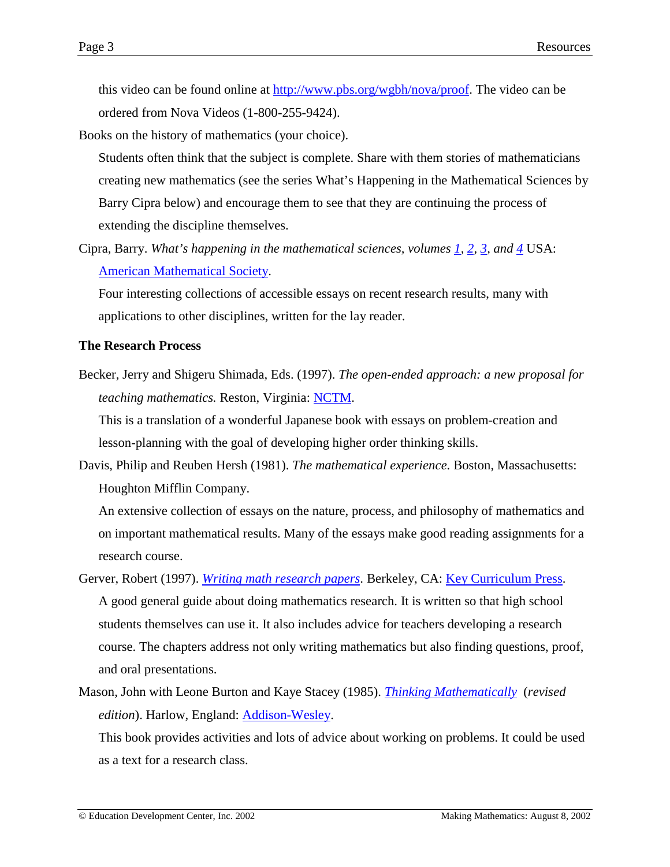this video can be found online at [http://www.pbs.org/wgbh/nova/proof.](http://www.pbs.org/wgbh/nova/proof) The video can be ordered from Nova Videos (1-800-255-9424).

Books on the history of mathematics (your choice).

- Students often think that the subject is complete. Share with them stories of mathematicians creating new mathematics (see the series What's Happening in the Mathematical Sciences by Barry Cipra below) and encourage them to see that they are continuing the process of extending the discipline themselves.
- Cipra, Barry. *What's happening in the mathematical sciences, volumes [1,](http://www.ams.org/bookstore?fn=20&arg1=genint&item=HAPPENING-1) [2,](http://www.ams.org/bookstore?fn=20&arg1=genint&item=HAPPENING-2) [3,](http://www.ams.org/bookstore?fn=20&arg1=genint&item=HAPPENING-3) and [4](http://www.ams.org/bookstore?fn=20&arg1=genint&item=HAPPENING-4)* USA: [American Mathematical Society.](http://www.ams.org/bookstore/)

Four interesting collections of accessible essays on recent research results, many with applications to other disciplines, written for the lay reader.

#### **The Research Process**

Becker, Jerry and Shigeru Shimada, Eds. (1997). *The open-ended approach: a new proposal for teaching mathematics.* Reston, Virginia: [NCTM.](http://www.nctm.org/)

This is a translation of a wonderful Japanese book with essays on problem-creation and lesson-planning with the goal of developing higher order thinking skills.

Davis, Philip and Reuben Hersh (1981). *The mathematical experience*. Boston, Massachusetts: Houghton Mifflin Company.

An extensive collection of essays on the nature, process, and philosophy of mathematics and on important mathematical results. Many of the essays make good reading assignments for a research course.

- Gerver, Robert (1997). *[Writing math research papers](http://www.keypress.com/catalog/products/supplementals/Prod_WriteMathPprs.html)*. Berkeley, CA: [Key Curriculum Press.](http://www.keypress.com/) A good general guide about doing mathematics research. It is written so that high school students themselves can use it. It also includes advice for teachers developing a research course. The chapters address not only writing mathematics but also finding questions, proof, and oral presentations.
- Mason, John with Leone Burton and Kaye Stacey (1985). *[Thinking Mathematically](http://www.aw.com/product/0,2627,0201102382,00.html)* (*revised edition*). Harlow, England: [Addison-Wesley.](http://www.aw.com/)

This book provides activities and lots of advice about working on problems. It could be used as a text for a research class.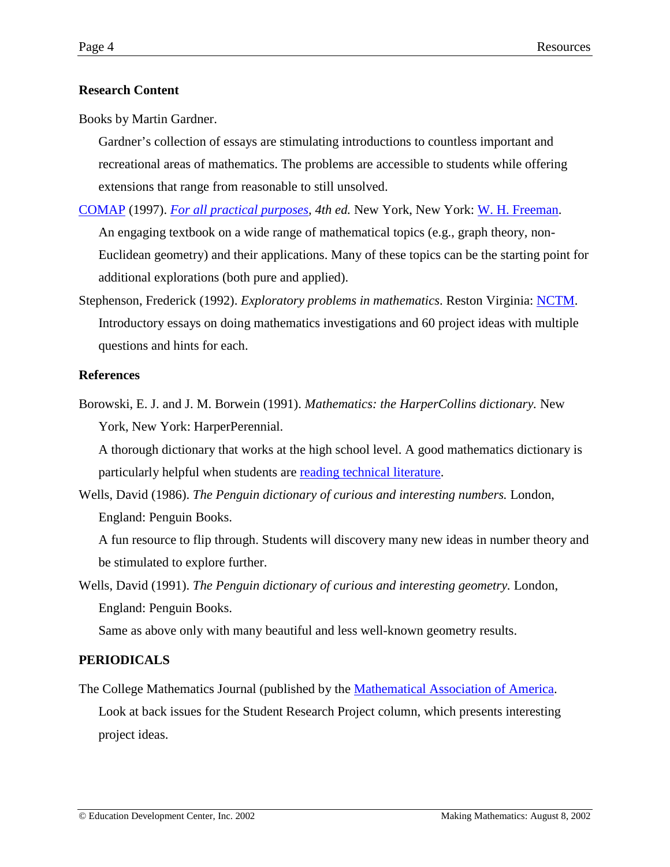# **Research Content**

Books by Martin Gardner.

Gardner's collection of essays are stimulating introductions to countless important and recreational areas of mathematics. The problems are accessible to students while offering extensions that range from reasonable to still unsolved.

- [COMAP](http://www.comap.org/) (1997). *[For all practical purposes,](http://www.whfreeman.com/comap/) 4th ed.* New York, New York: [W. H. Freeman.](http://www.whfreeman.com/) An engaging textbook on a wide range of mathematical topics (e.g., graph theory, non-Euclidean geometry) and their applications. Many of these topics can be the starting point for additional explorations (both pure and applied).
- Stephenson, Frederick (1992). *Exploratory problems in mathematics*. Reston Virginia: [NCTM.](http://www.nctm.org/) Introductory essays on doing mathematics investigations and 60 project ideas with multiple questions and hints for each.

## **References**

Borowski, E. J. and J. M. Borwein (1991). *Mathematics: the HarperCollins dictionary.* New York, New York: HarperPerennial.

A thorough dictionary that works at the high school level. A good mathematics dictionary is particularly helpful when students are [reading technical literature.](http://www2.edc.org/makingmath/handbook/teacher/GettingInformation/GettingInformation.asp#ReadingTechnicalLiterature)

Wells, David (1986). *The Penguin dictionary of curious and interesting numbers.* London, England: Penguin Books.

A fun resource to flip through. Students will discovery many new ideas in number theory and be stimulated to explore further.

Wells, David (1991). *The Penguin dictionary of curious and interesting geometry.* London, England: Penguin Books.

Same as above only with many beautiful and less well-known geometry results.

# **PERIODICALS**

The College Mathematics Journal (published by the [Mathematical Association of America.](http://www.maa.org/) Look at back issues for the Student Research Project column, which presents interesting project ideas.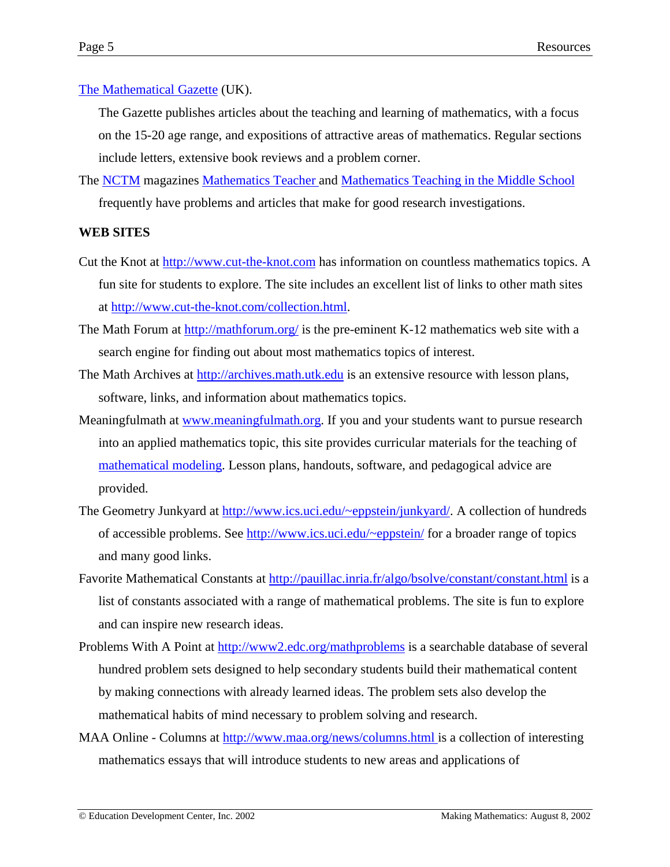## [The Mathematical Gazette](http://www.m-a.org.uk/eb/mg/index.htm) (UK).

The Gazette publishes articles about the teaching and learning of mathematics, with a focus on the 15-20 age range, and expositions of attractive areas of mathematics. Regular sections include letters, extensive book reviews and a problem corner.

The [NCTM](http://www.nctm.org/) magazines [Mathematics Teacher a](http://www.nctm.org/mt/)nd [Mathematics Teaching in the Middle School](http://www.nctm.org/mtms) frequently have problems and articles that make for good research investigations.

## **WEB SITES**

- Cut the Knot at [http://www.cut-the-knot.com](http://www.cut-the-knot.com/) has information on countless mathematics topics. A fun site for students to explore. The site includes an excellent list of links to other math sites at [http://www.cut-the-knot.com/collection.html.](http://www.cut-the-knot.com/collection.html)
- The Math Forum at  $\frac{http://mathforward/is}$  is the pre-eminent K-12 mathematics web site with a search engine for finding out about most mathematics topics of interest.
- The Math Archives at [http://archives.math.utk.edu](http://archives.math.utk.edu/) is an extensive resource with lesson plans, software, links, and information about mathematics topics.
- Meaningfulmath at [www.meaningfulmath.org.](http://www.meaningfulmath.org/) If you and your students want to pursue research into an applied mathematics topic, this site provides curricular materials for the teaching of [mathematical modeling.](http://www.meaningfulmath.org/modeling) Lesson plans, handouts, software, and pedagogical advice are provided.
- The Geometry Junkyard at [http://www.ics.uci.edu/~eppstein/junkyard/.](http://www.ics.uci.edu/~eppstein/junkyard/) A collection of hundreds of accessible problems. See <http://www.ics.uci.edu/~eppstein/>for a broader range of topics and many good links.
- Favorite Mathematical Constants at <http://pauillac.inria.fr/algo/bsolve/constant/constant.html>is a list of constants associated with a range of mathematical problems. The site is fun to explore and can inspire new research ideas.
- Problems With A Point at<http://www2.edc.org/mathproblems>is a searchable database of several hundred problem sets designed to help secondary students build their mathematical content by making connections with already learned ideas. The problem sets also develop the mathematical habits of mind necessary to problem solving and research.
- MAA Online Columns at [http://www.maa.org/news/columns.html i](http://www.maa.org/news/columns.html)s a collection of interesting mathematics essays that will introduce students to new areas and applications of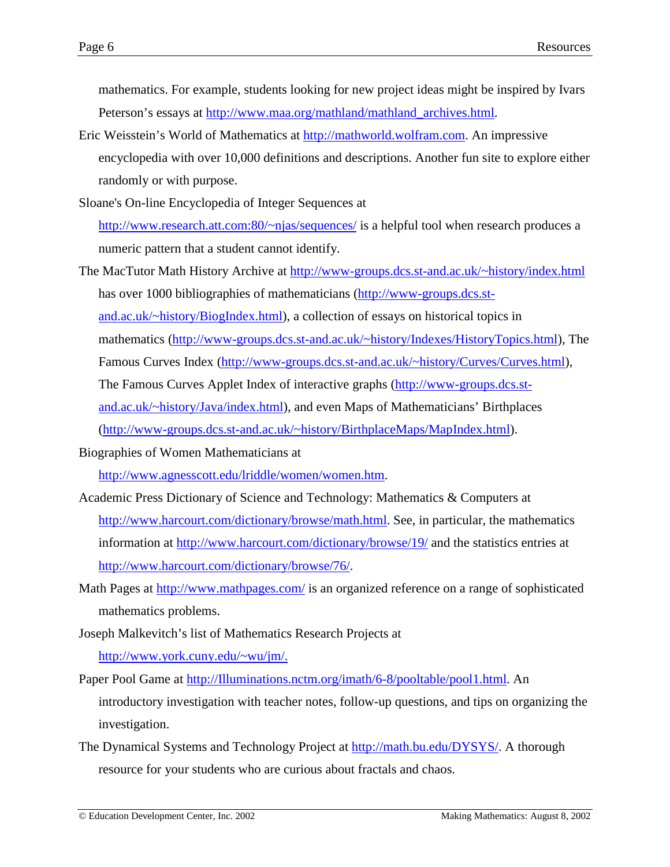mathematics. For example, students looking for new project ideas might be inspired by Ivars Peterson's essays at [http://www.maa.org/mathland/mathland\\_archives.html.](http://www.maa.org/mathland/mathland_archives.html)

- Eric Weisstein's World of Mathematics at [http://mathworld.wolfram.com.](http://mathworld.wolfram.com/) An impressive encyclopedia with over 10,000 definitions and descriptions. Another fun site to explore either randomly or with purpose.
- Sloane's On-line Encyclopedia of Integer Sequences at [http://www.research.att.com:80/~njas/sequences/](http://www.research.att.com/~njas/sequences/) is a helpful tool when research produces a numeric pattern that a student cannot identify.
- The MacTutor Math History Archive at <http://www-groups.dcs.st-and.ac.uk/~history/index.html> has over 1000 bibliographies of mathematicians ([http://www-groups.dcs.st](http://www-groups.dcs.st-and.ac.uk/~history/BiogIndex.html)[and.ac.uk/~history/BiogIndex.html\)](http://www-groups.dcs.st-and.ac.uk/~history/BiogIndex.html), a collection of essays on historical topics in mathematics ([http://www-groups.dcs.st-and.ac.uk/~history/Indexes/HistoryTopics.html\)](http://www-groups.dcs.st-and.ac.uk/~history/Indexes/HistoryTopics.html), The Famous Curves Index ([http://www-groups.dcs.st-and.ac.uk/~history/Curves/Curves.html\)](http://www-groups.dcs.st-and.ac.uk/~history/Curves/Curves.html), The Famous Curves Applet Index of interactive graphs ([http://www-groups.dcs.st](http://www-groups.dcs.st-and.ac.uk/~history/Java/index.html)[and.ac.uk/~history/Java/index.html\)](http://www-groups.dcs.st-and.ac.uk/~history/Java/index.html), and even Maps of Mathematicians' Birthplaces [\(http://www-groups.dcs.st-and.ac.uk/~history/BirthplaceMaps/MapIndex.html\)](http://www-groups.dcs.st-and.ac.uk/~history/BirthplaceMaps/MapIndex.html).
- Biographies of Women Mathematicians at

[http://www.agnesscott.edu/lriddle/women/women.htm.](http://www.agnesscott.edu/lriddle/women/women.htm)

- Academic Press Dictionary of Science and Technology: Mathematics & Computers at [http://www.harcourt.com/dictionary/browse/math.html.](http://www.harcourt.com/dictionary/browse/math.html) See, in particular, the mathematics information at<http://www.harcourt.com/dictionary/browse/19/>and the statistics entries at [http://www.harcourt.com/dictionary/browse/76/.](http://www.harcourt.com/dictionary/browse/76/)
- Math Pages at <http://www.mathpages.com/>is an organized reference on a range of sophisticated mathematics problems.
- Joseph Malkevitch's list of Mathematics Research Projects at

[http://www.york.cuny.edu/~wu/jm/.](http://www.york.cuny.edu/~wu/jm/)

- Paper Pool Game at [http://Illuminations.nctm.org/imath/6-8/pooltable/pool1.html.](http://illuminations.nctm.org/imath/6-8/pooltable/pool1.html) An introductory investigation with teacher notes, follow-up questions, and tips on organizing the investigation.
- The Dynamical Systems and Technology Project at [http://math.bu.edu/DYSYS/.](http://math.bu.edu/DYSYS/) A thorough resource for your students who are curious about fractals and chaos.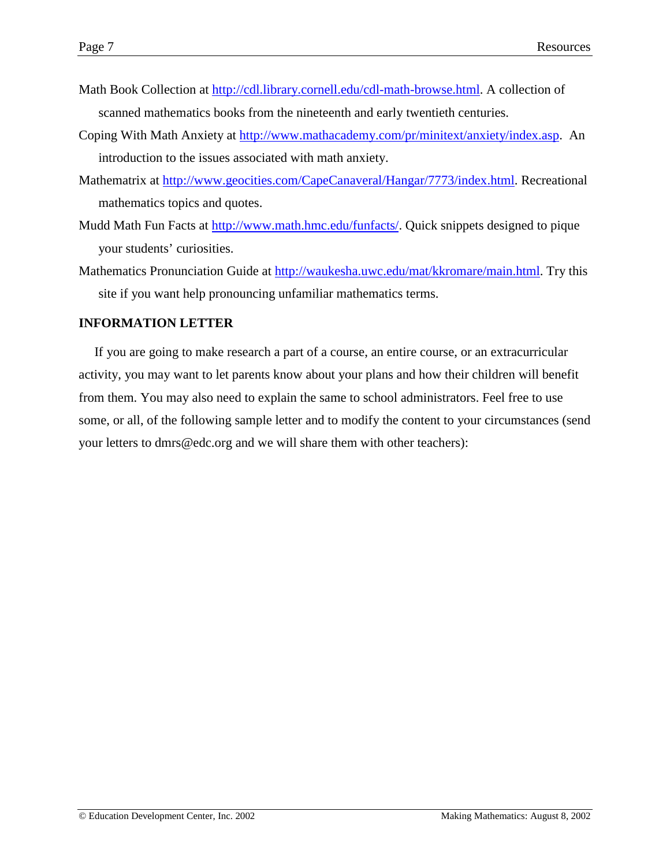- Math Book Collection at [http://cdl.library.cornell.edu/cdl-math-browse.html.](http://cdl.library.cornell.edu/cdl-math-browse.html) A collection of scanned mathematics books from the nineteenth and early twentieth centuries.
- Coping With Math Anxiety at [http://www.mathacademy.com/pr/minitext/anxiety/index.asp.](http://www.mathacademy.com/pr/minitext/anxiety/index.asp) An introduction to the issues associated with math anxiety.
- Mathematrix at [http://www.geocities.com/CapeCanaveral/Hangar/7773/index.html.](http://www.geocities.com/CapeCanaveral/Hangar/7773/index.html) Recreational mathematics topics and quotes.
- Mudd Math Fun Facts at [http://www.math.hmc.edu/funfacts/.](http://www.math.hmc.edu/funfacts/) Quick snippets designed to pique your students' curiosities.
- Mathematics Pronunciation Guide at [http://waukesha.uwc.edu/mat/kkromare/main.html.](http://waukesha.uwc.edu/mat/kkromare/main.html) Try this site if you want help pronouncing unfamiliar mathematics terms.

#### **INFORMATION LETTER**

If you are going to make research a part of a course, an entire course, or an extracurricular activity, you may want to let parents know about your plans and how their children will benefit from them. You may also need to explain the same to school administrators. Feel free to use some, or all, of the following sample letter and to modify the content to your circumstances (send your letters to dmrs@edc.org and we will share them with other teachers):